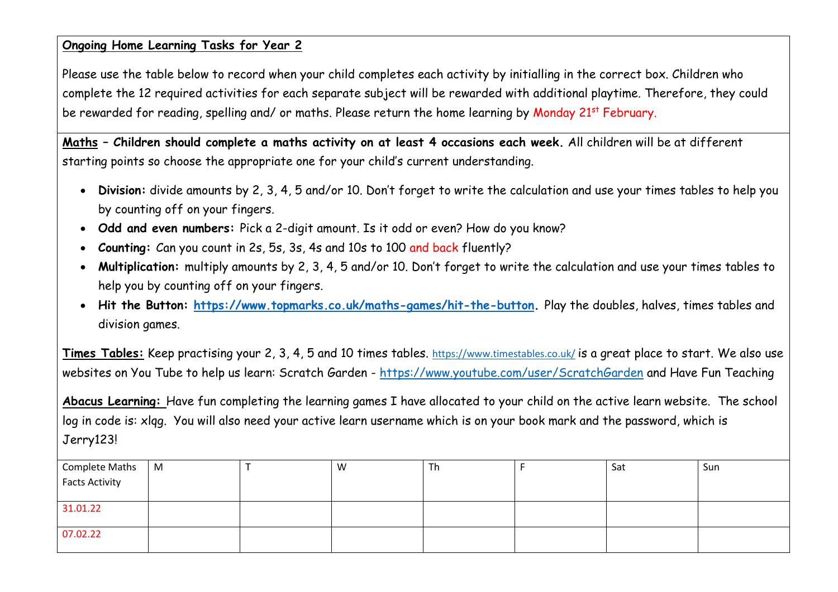#### **Ongoing Home Learning Tasks for Year 2**

Please use the table below to record when your child completes each activity by initialling in the correct box. Children who complete the 12 required activities for each separate subject will be rewarded with additional playtime. Therefore, they could be rewarded for reading, spelling and/ or maths. Please return the home learning by Monday 21<sup>st</sup> February.

**Maths – Children should complete a maths activity on at least 4 occasions each week.** All children will be at different starting points so choose the appropriate one for your child's current understanding.

- **Division:** divide amounts by 2, 3, 4, 5 and/or 10. Don't forget to write the calculation and use your times tables to help you by counting off on your fingers.
- **Odd and even numbers:** Pick a 2-digit amount. Is it odd or even? How do you know?
- **Counting:** Can you count in 2s, 5s, 3s, 4s and 10s to 100 and back fluently?
- **Multiplication:** multiply amounts by 2, 3, 4, 5 and/or 10. Don't forget to write the calculation and use your times tables to help you by counting off on your fingers.
- **Hit the Button: [https://www.topmarks.co.uk/maths-games/hit-the-button.](https://www.topmarks.co.uk/maths-games/hit-the-button)** Play the doubles, halves, times tables and division games.

**Times Tables:** Keep practising your 2, 3, 4, 5 and 10 times tables. <https://www.timestables.co.uk/> is a great place to start. We also use websites on You Tube to help us learn: Scratch Garden - <https://www.youtube.com/user/ScratchGarden> and Have Fun Teaching

**Abacus Learning:** Have fun completing the learning games I have allocated to your child on the active learn website. The school log in code is: xlqg. You will also need your active learn username which is on your book mark and the password, which is Jerry123!

| Complete Maths        | M | W | Th | Sat | Sun |
|-----------------------|---|---|----|-----|-----|
| <b>Facts Activity</b> |   |   |    |     |     |
|                       |   |   |    |     |     |
| 31.01.22              |   |   |    |     |     |
|                       |   |   |    |     |     |
| 07.02.22              |   |   |    |     |     |
|                       |   |   |    |     |     |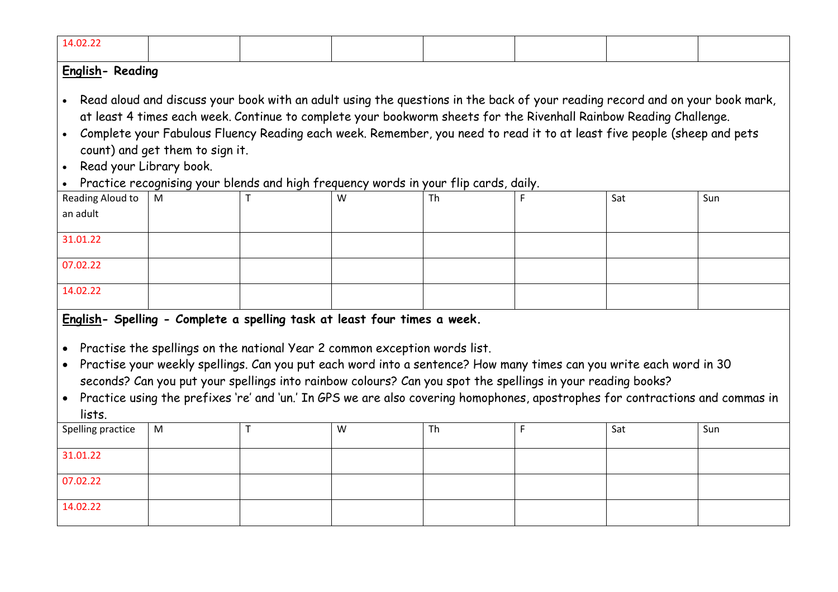| 14.02.22                                                                                                                                                                                                                                                                                                                                                                                                                                                                                                                                                                           |           |   |   |           |   |     |     |  |  |  |  |
|------------------------------------------------------------------------------------------------------------------------------------------------------------------------------------------------------------------------------------------------------------------------------------------------------------------------------------------------------------------------------------------------------------------------------------------------------------------------------------------------------------------------------------------------------------------------------------|-----------|---|---|-----------|---|-----|-----|--|--|--|--|
| English-Reading<br>. Read aloud and discuss your book with an adult using the questions in the back of your reading record and on your book mark,<br>at least 4 times each week. Continue to complete your bookworm sheets for the Rivenhall Rainbow Reading Challenge.<br>Complete your Fabulous Fluency Reading each week. Remember, you need to read it to at least five people (sheep and pets<br>$\bullet$<br>count) and get them to sign it.<br>Read your Library book.<br>$\bullet$<br>Practice recognising your blends and high frequency words in your flip cards, daily. |           |   |   |           |   |     |     |  |  |  |  |
| Reading Aloud to<br>an adult<br>31.01.22                                                                                                                                                                                                                                                                                                                                                                                                                                                                                                                                           | M         |   | W | Th        |   | Sat | Sun |  |  |  |  |
| 07.02.22<br>14.02.22                                                                                                                                                                                                                                                                                                                                                                                                                                                                                                                                                               |           |   |   |           |   |     |     |  |  |  |  |
| English- Spelling - Complete a spelling task at least four times a week.<br>• Practise the spellings on the national Year 2 common exception words list.<br>Practise your weekly spellings. Can you put each word into a sentence? How many times can you write each word in 30<br>$\bullet$<br>seconds? Can you put your spellings into rainbow colours? Can you spot the spellings in your reading books?<br>Practice using the prefixes 're' and 'un.' In GPS we are also covering homophones, apostrophes for contractions and commas in<br>$\bullet$<br>lists.                |           |   |   |           |   |     |     |  |  |  |  |
| Spelling practice<br>31.01.22                                                                                                                                                                                                                                                                                                                                                                                                                                                                                                                                                      | ${\sf M}$ | T | W | <b>Th</b> | F | Sat | Sun |  |  |  |  |
| 07.02.22                                                                                                                                                                                                                                                                                                                                                                                                                                                                                                                                                                           |           |   |   |           |   |     |     |  |  |  |  |
| 14.02.22                                                                                                                                                                                                                                                                                                                                                                                                                                                                                                                                                                           |           |   |   |           |   |     |     |  |  |  |  |